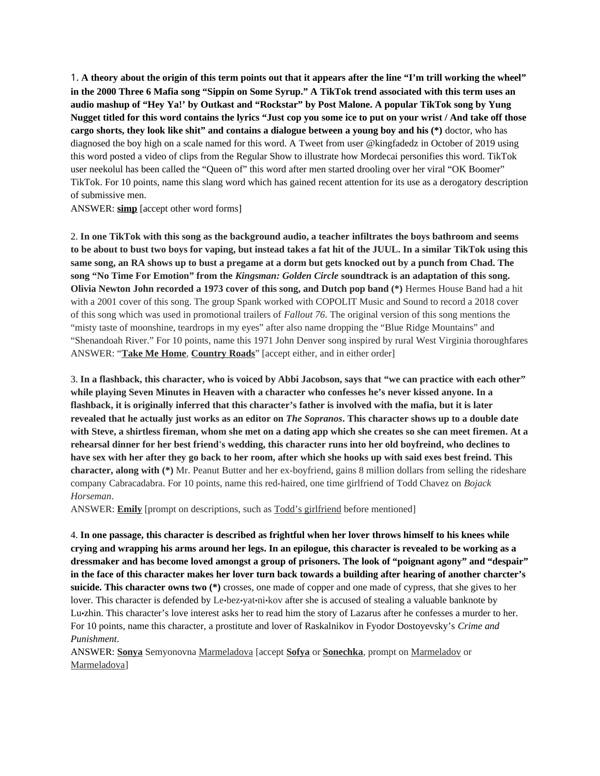1. **A theory about the origin of this term points out that it appears after the line "I'm trill working the wheel" in the 2000 Three 6 Mafia song "Sippin on Some Syrup." A TikTok trend associated with this term uses an audio mashup of "Hey Ya!' by Outkast and "Rockstar" by Post Malone. A popular TikTok song by Yung Nugget titled for this word contains the lyrics "Just cop you some ice to put on your wrist / And take off those cargo shorts, they look like shit" and contains a dialogue between a young boy and his (\*)** doctor, who has diagnosed the boy high on a scale named for this word. A Tweet from user @kingfadedz in October of 2019 using this word posted a video of clips from the Regular Show to illustrate how Mordecai personifies this word. TikTok user neekolul has been called the "Queen of" this word after men started drooling over her viral "OK Boomer" TikTok. For 10 points, name this slang word which has gained recent attention for its use as a derogatory description of submissive men.

ANSWER: **simp** [accept other word forms]

2. **In one TikTok with this song as the background audio, a teacher infiltrates the boys bathroom and seems to be about to bust two boys for vaping, but instead takes a fat hit of the JUUL. In a similar TikTok using this same song, an RA shows up to bust a pregame at a dorm but gets knocked out by a punch from Chad. The song "No Time For Emotion" from the** *Kingsman: Golden Circle* **soundtrack is an adaptation of this song. Olivia Newton John recorded a 1973 cover of this song, and Dutch pop band (\*)** Hermes House Band had a hit with a 2001 cover of this song. The group Spank worked with COPOLIT Music and Sound to record a 2018 cover of this song which was used in promotional trailers of *Fallout 76*. The original version of this song mentions the "misty taste of moonshine, teardrops in my eyes" after also name dropping the "Blue Ridge Mountains" and "Shenandoah River." For 10 points, name this 1971 John Denver song inspired by rural West Virginia thoroughfares ANSWER: "**Take Me Home**, **Country Roads**" [accept either, and in either order]

3. **In a flashback, this character, who is voiced by Abbi Jacobson, says that "we can practice with each other" while playing Seven Minutes in Heaven with a character who confesses he's never kissed anyone. In a flashback, it is originally inferred that this character's father is involved with the mafia, but it is later revealed that he actually just works as an editor on** *The Sopranos***. This character shows up to a double date with Steve, a shirtless fireman, whom she met on a dating app which she creates so she can meet firemen. At a rehearsal dinner for her best friend's wedding, this character runs into her old boyfreind, who declines to have sex with her after they go back to her room, after which she hooks up with said exes best freind. This character, along with (\*)** Mr. Peanut Butter and her ex-boyfriend, gains 8 million dollars from selling the rideshare company Cabracadabra. For 10 points, name this red-haired, one time girlfriend of Todd Chavez on *Bojack Horseman*.

ANSWER: **Emily** [prompt on descriptions, such as Todd's girlfriend before mentioned]

4. **In one passage, this character is described as frightful when her lover throws himself to his knees while crying and wrapping his arms around her legs. In an epilogue, this character is revealed to be working as a dressmaker and has become loved amongst a group of prisoners. The look of "poignant agony" and "despair" in the face of this character makes her lover turn back towards a building after hearing of another charcter's suicide. This character owns two (\*)** crosses, one made of copper and one made of cypress, that she gives to her lover. This character is defended by Le•bez•yat•ni•kov after she is accused of stealing a valuable banknote by Lu•zhin. This character's love interest asks her to read him the story of Lazarus after he confesses a murder to her. For 10 points, name this character, a prostitute and lover of Raskalnikov in Fyodor Dostoyevsky's *Crime and Punishment*.

ANSWER: **Sonya** Semyonovna Marmeladova [accept **Sofya** or **Sonechka**, prompt on Marmeladov or Marmeladova]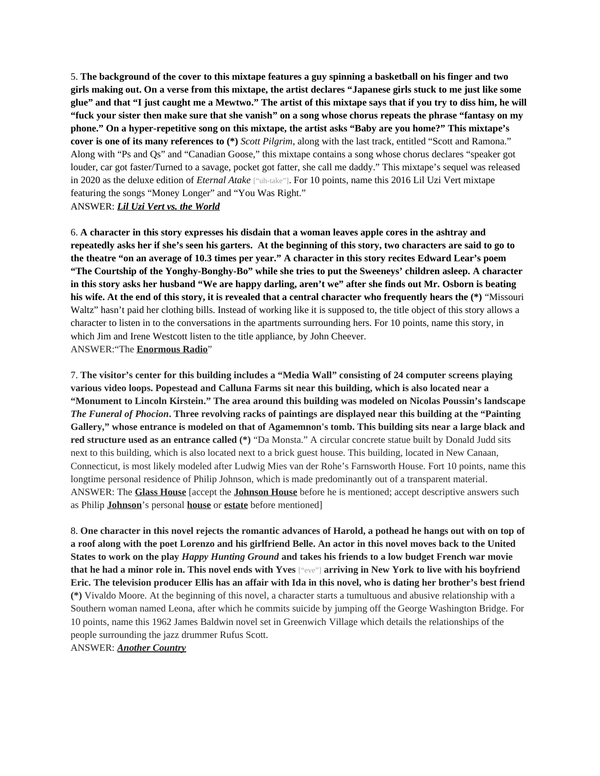5. **The background of the cover to this mixtape features a guy spinning a basketball on his finger and two girls making out. On a verse from this mixtape, the artist declares "Japanese girls stuck to me just like some glue" and that "I just caught me a Mewtwo." The artist of this mixtape says that if you try to diss him, he will "fuck your sister then make sure that she vanish" on a song whose chorus repeats the phrase "fantasy on my phone." On a hyper-repetitive song on this mixtape, the artist asks "Baby are you home?" This mixtape's cover is one of its many references to (\*)** *Scott Pilgrim*, along with the last track, entitled "Scott and Ramona." Along with "Ps and Qs" and "Canadian Goose," this mixtape contains a song whose chorus declares "speaker got louder, car got faster/Turned to a savage, pocket got fatter, she call me daddy." This mixtape's sequel was released in 2020 as the deluxe edition of *Eternal Atake* ["uh-take"]. For 10 points, name this 2016 Lil Uzi Vert mixtape featuring the songs "Money Longer" and "You Was Right."

## ANSWER: *Lil Uzi Vert vs. the World*

6. **A character in this story expresses his disdain that a woman leaves apple cores in the ashtray and repeatedly asks her if she's seen his garters. At the beginning of this story, two characters are said to go to the theatre "on an average of 10.3 times per year." A character in this story recites Edward Lear's poem "The Courtship of the Yonghy-Bonghy-Bo" while she tries to put the Sweeneys' children asleep. A character in this story asks her husband "We are happy darling, aren't we" after she finds out Mr. Osborn is beating his wife. At the end of this story, it is revealed that a central character who frequently hears the (\*)** "Missouri Waltz" hasn't paid her clothing bills. Instead of working like it is supposed to, the title object of this story allows a character to listen in to the conversations in the apartments surrounding hers. For 10 points, name this story, in which Jim and Irene Westcott listen to the title appliance, by John Cheever. ANSWER:"The **Enormous Radio**"

7. **The visitor's center for this building includes a "Media Wall" consisting of 24 computer screens playing various video loops. Popestead and Calluna Farms sit near this building, which is also located near a "Monument to Lincoln Kirstein." The area around this building was modeled on Nicolas Poussin's landscape**  *The Funeral of Phocion***. Three revolving racks of paintings are displayed near this building at the "Painting Gallery," whose entrance is modeled on that of Agamemnon's tomb. This building sits near a large black and red structure used as an entrance called (\*)** "Da Monsta." A circular concrete statue built by Donald Judd sits next to this building, which is also located next to a brick guest house. This building, located in New Canaan, Connecticut, is most likely modeled after Ludwig Mies van der Rohe's Farnsworth House. Fort 10 points, name this longtime personal residence of Philip Johnson, which is made predominantly out of a transparent material. ANSWER: The **Glass House** [accept the **Johnson House** before he is mentioned; accept descriptive answers such as Philip **Johnson**'s personal **house** or **estate** before mentioned]

8. **One character in this novel rejects the romantic advances of Harold, a pothead he hangs out with on top of a roof along with the poet Lorenzo and his girlfriend Belle. An actor in this novel moves back to the United States to work on the play** *Happy Hunting Ground* **and takes his friends to a low budget French war movie that he had a minor role in. This novel ends with Yves** ["eve"] **arriving in New York to live with his boyfriend Eric. The television producer Ellis has an affair with Ida in this novel, who is dating her brother's best friend (\*)** Vivaldo Moore. At the beginning of this novel, a character starts a tumultuous and abusive relationship with a Southern woman named Leona, after which he commits suicide by jumping off the George Washington Bridge. For 10 points, name this 1962 James Baldwin novel set in Greenwich Village which details the relationships of the people surrounding the jazz drummer Rufus Scott.

ANSWER: *Another Country*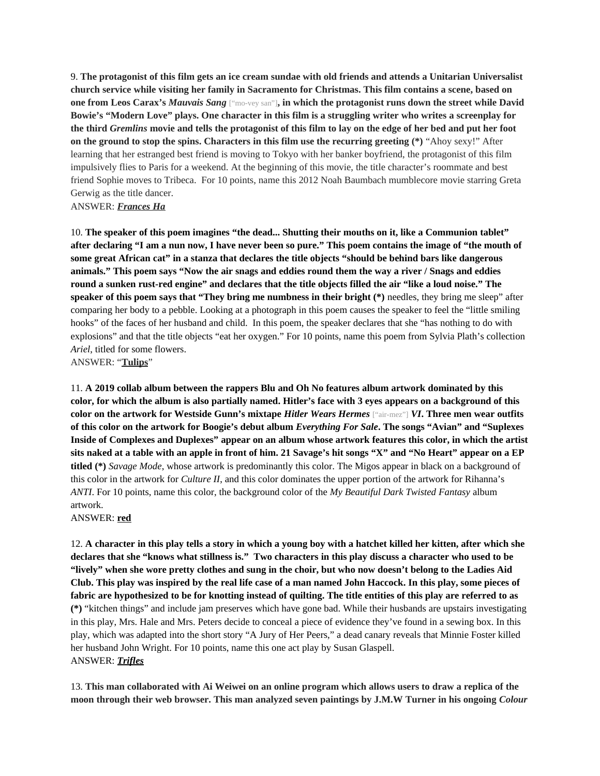9. **The protagonist of this film gets an ice cream sundae with old friends and attends a Unitarian Universalist church service while visiting her family in Sacramento for Christmas. This film contains a scene, based on one from Leos Carax's** *Mauvais Sang* ["mo-vey san"]**, in which the protagonist runs down the street while David Bowie's "Modern Love" plays. One character in this film is a struggling writer who writes a screenplay for the third** *Gremlins* **movie and tells the protagonist of this film to lay on the edge of her bed and put her foot on the ground to stop the spins. Characters in this film use the recurring greeting (\*)** "Ahoy sexy!" After learning that her estranged best friend is moving to Tokyo with her banker boyfriend, the protagonist of this film impulsively flies to Paris for a weekend. At the beginning of this movie, the title character's roommate and best friend Sophie moves to Tribeca. For 10 points, name this 2012 Noah Baumbach mumblecore movie starring Greta Gerwig as the title dancer.

ANSWER: *Frances Ha*

10. **The speaker of this poem imagines "the dead... Shutting their mouths on it, like a Communion tablet" after declaring "I am a nun now, I have never been so pure." This poem contains the image of "the mouth of some great African cat" in a stanza that declares the title objects "should be behind bars like dangerous animals." This poem says "Now the air snags and eddies round them the way a river / Snags and eddies round a sunken rust-red engine" and declares that the title objects filled the air "like a loud noise." The speaker of this poem says that "They bring me numbness in their bright (\*)** needles, they bring me sleep" after comparing her body to a pebble. Looking at a photograph in this poem causes the speaker to feel the "little smiling hooks" of the faces of her husband and child. In this poem, the speaker declares that she "has nothing to do with explosions" and that the title objects "eat her oxygen." For 10 points, name this poem from Sylvia Plath's collection *Ariel*, titled for some flowers.

ANSWER: "**Tulips**"

11. **A 2019 collab album between the rappers Blu and Oh No features album artwork dominated by this color, for which the album is also partially named. Hitler's face with 3 eyes appears on a background of this color on the artwork for Westside Gunn's mixtape** *Hitler Wears Hermes* ["air-mez"] *VI***. Three men wear outfits of this color on the artwork for Boogie's debut album** *Everything For Sale***. The songs "Avian" and "Suplexes Inside of Complexes and Duplexes" appear on an album whose artwork features this color, in which the artist sits naked at a table with an apple in front of him. 21 Savage's hit songs "X" and "No Heart" appear on a EP titled (\*)** *Savage Mode*, whose artwork is predominantly this color. The Migos appear in black on a background of this color in the artwork for *Culture II*, and this color dominates the upper portion of the artwork for Rihanna's *ANTI*. For 10 points, name this color, the background color of the *My Beautiful Dark Twisted Fantasy* album artwork.

ANSWER: **red**

12. **A character in this play tells a story in which a young boy with a hatchet killed her kitten, after which she declares that she "knows what stillness is." Two characters in this play discuss a character who used to be "lively" when she wore pretty clothes and sung in the choir, but who now doesn't belong to the Ladies Aid Club. This play was inspired by the real life case of a man named John Haccock. In this play, some pieces of fabric are hypothesized to be for knotting instead of quilting. The title entities of this play are referred to as (\*)** "kitchen things" and include jam preserves which have gone bad. While their husbands are upstairs investigating in this play, Mrs. Hale and Mrs. Peters decide to conceal a piece of evidence they've found in a sewing box. In this play, which was adapted into the short story "A Jury of Her Peers," a dead canary reveals that Minnie Foster killed her husband John Wright. For 10 points, name this one act play by Susan Glaspell. ANSWER: *Trifles*

13. **This man collaborated with Ai Weiwei on an online program which allows users to draw a replica of the moon through their web browser. This man analyzed seven paintings by J.M.W Turner in his ongoing** *Colour*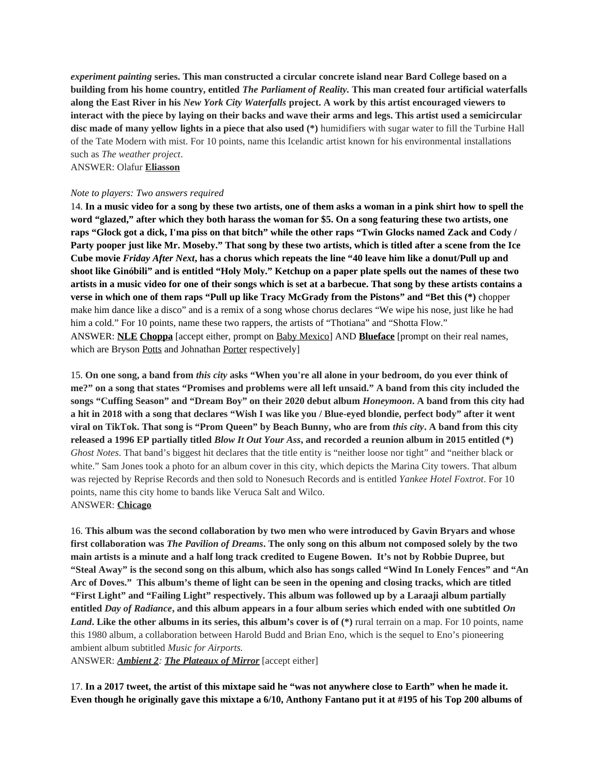*experiment painting* **series. This man constructed a circular concrete island near Bard College based on a building from his home country, entitled** *The Parliament of Reality.* **This man created four artificial waterfalls along the East River in his** *New York City Waterfalls* **project. A work by this artist encouraged viewers to interact with the piece by laying on their backs and wave their arms and legs. This artist used a semicircular disc made of many yellow lights in a piece that also used (\*)** humidifiers with sugar water to fill the Turbine Hall of the Tate Modern with mist. For 10 points, name this Icelandic artist known for his environmental installations such as *The weather project*.

ANSWER: Olafur **Eliasson**

## *Note to players: Two answers required*

14. **In a music video for a song by these two artists, one of them asks a woman in a pink shirt how to spell the word "glazed," after which they both harass the woman for \$5. On a song featuring these two artists, one raps "Glock got a dick, I'ma piss on that bitch" while the other raps "Twin Glocks named Zack and Cody / Party pooper just like Mr. Moseby." That song by these two artists, which is titled after a scene from the Ice Cube movie** *Friday After Next***, has a chorus which repeats the line "40 leave him like a donut/Pull up and shoot like Ginóbili" and is entitled "Holy Moly." Ketchup on a paper plate spells out the names of these two artists in a music video for one of their songs which is set at a barbecue. That song by these artists contains a verse in which one of them raps "Pull up like Tracy McGrady from the Pistons" and "Bet this (\*)** chopper make him dance like a disco" and is a remix of a song whose chorus declares "We wipe his nose, just like he had him a cold." For 10 points, name these two rappers, the artists of "Thotiana" and "Shotta Flow." ANSWER: **NLE Choppa** [accept either, prompt on Baby Mexico] AND **Blueface** [prompt on their real names, which are Bryson Potts and Johnathan Porter respectively]

15. **On one song, a band from** *this city* **asks "When you're all alone in your bedroom, do you ever think of me?" on a song that states "Promises and problems were all left unsaid." A band from this city included the songs "Cuffing Season" and "Dream Boy" on their 2020 debut album** *Honeymoon***. A band from this city had a hit in 2018 with a song that declares "Wish I was like you / Blue-eyed blondie, perfect body" after it went viral on TikTok. That song is "Prom Queen" by Beach Bunny, who are from** *this city***. A band from this city released a 1996 EP partially titled** *Blow It Out Your Ass***, and recorded a reunion album in 2015 entitled (\*)** *Ghost Notes*. That band's biggest hit declares that the title entity is "neither loose nor tight" and "neither black or white." Sam Jones took a photo for an album cover in this city, which depicts the Marina City towers. That album was rejected by Reprise Records and then sold to Nonesuch Records and is entitled *Yankee Hotel Foxtrot*. For 10 points, name this city home to bands like Veruca Salt and Wilco. ANSWER: **Chicago**

16. **This album was the second collaboration by two men who were introduced by Gavin Bryars and whose first collaboration was** *The Pavilion of Dreams***. The only song on this album not composed solely by the two main artists is a minute and a half long track credited to Eugene Bowen. It's not by Robbie Dupree, but "Steal Away" is the second song on this album, which also has songs called "Wind In Lonely Fences" and "An Arc of Doves." This album's theme of light can be seen in the opening and closing tracks, which are titled "First Light" and "Failing Light" respectively. This album was followed up by a Laraaji album partially entitled** *Day of Radiance***, and this album appears in a four album series which ended with one subtitled** *On Land***. Like the other albums in its series, this album's cover is of (\*)** rural terrain on a map. For 10 points, name this 1980 album, a collaboration between Harold Budd and Brian Eno, which is the sequel to Eno's pioneering ambient album subtitled *Music for Airports.*

ANSWER: *Ambient 2: The Plateaux of Mirror* [accept either]

17. **In a 2017 tweet, the artist of this mixtape said he "was not anywhere close to Earth" when he made it. Even though he originally gave this mixtape a 6/10, Anthony Fantano put it at #195 of his Top 200 albums of**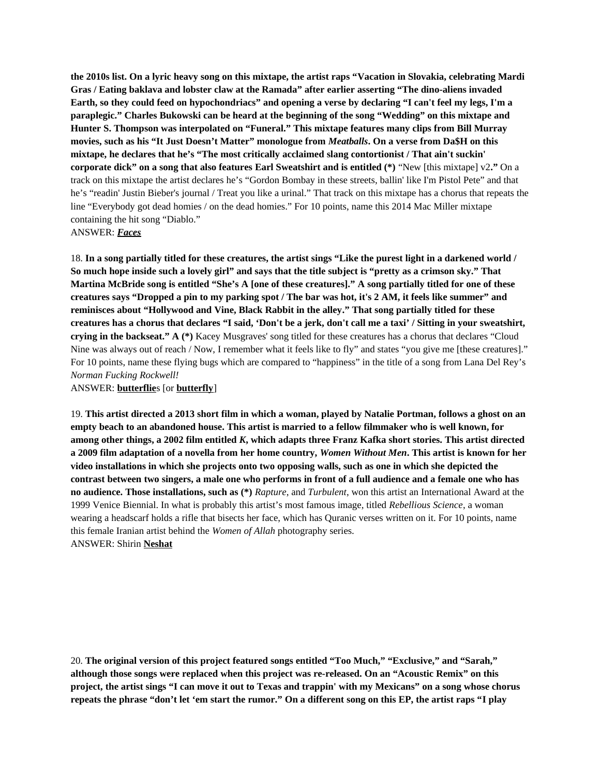**the 2010s list. On a lyric heavy song on this mixtape, the artist raps "Vacation in Slovakia, celebrating Mardi Gras / Eating baklava and lobster claw at the Ramada" after earlier asserting "The dino-aliens invaded Earth, so they could feed on hypochondriacs" and opening a verse by declaring "I can't feel my legs, I'm a paraplegic." Charles Bukowski can be heard at the beginning of the song "Wedding" on this mixtape and Hunter S. Thompson was interpolated on "Funeral." This mixtape features many clips from Bill Murray movies, such as his "It Just Doesn't Matter" monologue from** *Meatballs***. On a verse from Da\$H on this mixtape, he declares that he's "The most critically acclaimed slang contortionist / That ain't suckin' corporate dick" on a song that also features Earl Sweatshirt and is entitled (\*)** "New [this mixtape] v2**."** On a track on this mixtape the artist declares he's "Gordon Bombay in these streets, ballin' like I'm Pistol Pete" and that he's "readin' Justin Bieber's journal / Treat you like a urinal." That track on this mixtape has a chorus that repeats the line "Everybody got dead homies / on the dead homies." For 10 points, name this 2014 Mac Miller mixtape containing the hit song "Diablo."

## ANSWER: *Faces*

18. **In a song partially titled for these creatures, the artist sings "Like the purest light in a darkened world / So much hope inside such a lovely girl" and says that the title subject is "pretty as a crimson sky." That Martina McBride song is entitled "She's A [one of these creatures]." A song partially titled for one of these creatures says "Dropped a pin to my parking spot / The bar was hot, it's 2 AM, it feels like summer" and reminisces about "Hollywood and Vine, Black Rabbit in the alley." That song partially titled for these creatures has a chorus that declares "I said, 'Don't be a jerk, don't call me a taxi' / Sitting in your sweatshirt, crying in the backseat." A (\*)** Kacey Musgraves' song titled for these creatures has a chorus that declares "Cloud Nine was always out of reach / Now, I remember what it feels like to fly" and states "you give me [these creatures]." For 10 points, name these flying bugs which are compared to "happiness" in the title of a song from Lana Del Rey's *Norman Fucking Rockwell!*

ANSWER: **butterflie**s [or **butterfly**]

19. **This artist directed a 2013 short film in which a woman, played by Natalie Portman, follows a ghost on an empty beach to an abandoned house. This artist is married to a fellow filmmaker who is well known, for among other things, a 2002 film entitled** *K***, which adapts three Franz Kafka short stories. This artist directed a 2009 film adaptation of a novella from her home country,** *Women Without Men***. This artist is known for her video installations in which she projects onto two opposing walls, such as one in which she depicted the contrast between two singers, a male one who performs in front of a full audience and a female one who has no audience. Those installations, such as (\*)** *Rapture*, and *Turbulent*, won this artist an International Award at the 1999 Venice Biennial. In what is probably this artist's most famous image, titled *Rebellious Science*, a woman wearing a headscarf holds a rifle that bisects her face, which has Quranic verses written on it. For 10 points, name this female Iranian artist behind the *Women of Allah* photography series. ANSWER: Shirin **Neshat**

20. **The original version of this project featured songs entitled "Too Much," "Exclusive," and "Sarah," although those songs were replaced when this project was re-released. On an "Acoustic Remix" on this project, the artist sings "I can move it out to Texas and trappin' with my Mexicans" on a song whose chorus repeats the phrase "don't let 'em start the rumor." On a different song on this EP, the artist raps "I play**